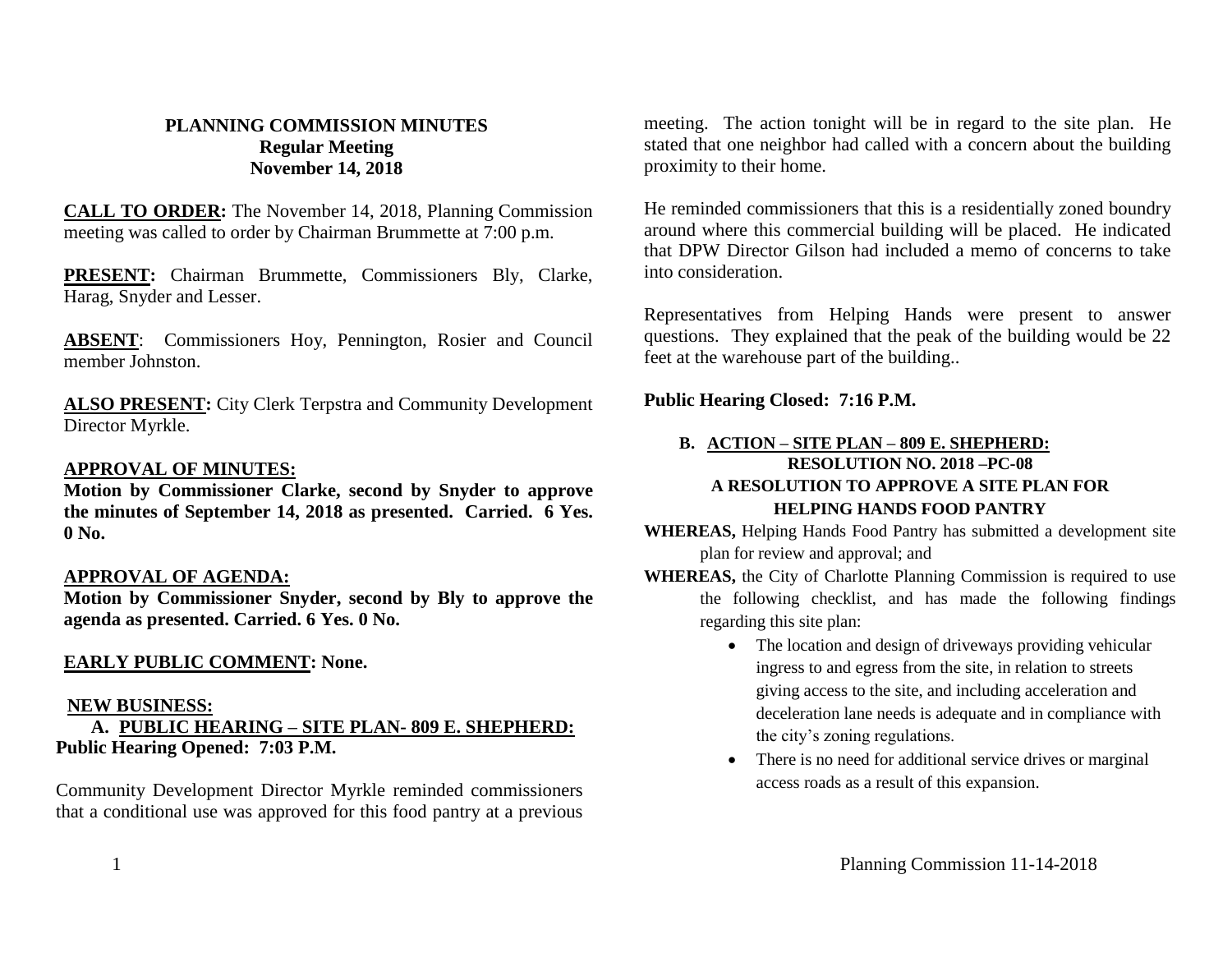# **PLANNING COMMISSION MINUTES Regular Meeting November 14, 2018**

**CALL TO ORDER:** The November 14, 2018, Planning Commission meeting was called to order by Chairman Brummette at 7:00 p.m.

**PRESENT:** Chairman Brummette, Commissioners Bly, Clarke, Harag, Snyder and Lesser.

**ABSENT**: Commissioners Hoy, Pennington, Rosier and Council member Johnston.

**ALSO PRESENT:** City Clerk Terpstra and Community Development Director Myrkle.

# **APPROVAL OF MINUTES:**

**Motion by Commissioner Clarke, second by Snyder to approve the minutes of September 14, 2018 as presented. Carried. 6 Yes. 0 No.**

## **APPROVAL OF AGENDA:**

**Motion by Commissioner Snyder, second by Bly to approve the agenda as presented. Carried. 6 Yes. 0 No.**

#### **EARLY PUBLIC COMMENT: None.**

#### **NEW BUSINESS:**

## **A. PUBLIC HEARING – SITE PLAN- 809 E. SHEPHERD: Public Hearing Opened: 7:03 P.M.**

Community Development Director Myrkle reminded commissioners that a conditional use was approved for this food pantry at a previous

meeting. The action tonight will be in regard to the site plan. He stated that one neighbor had called with a concern about the building proximity to their home.

He reminded commissioners that this is a residentially zoned boundry around where this commercial building will be placed. He indicated that DPW Director Gilson had included a memo of concerns to take into consideration.

Representatives from Helping Hands were present to answer questions. They explained that the peak of the building would be 22 feet at the warehouse part of the building..

# **Public Hearing Closed: 7:16 P.M.**

# **B. ACTION – SITE PLAN – 809 E. SHEPHERD: RESOLUTION NO. 2018 –PC-08 A RESOLUTION TO APPROVE A SITE PLAN FOR HELPING HANDS FOOD PANTRY**

**WHEREAS,** Helping Hands Food Pantry has submitted a development site plan for review and approval; and

**WHEREAS,** the City of Charlotte Planning Commission is required to use the following checklist, and has made the following findings regarding this site plan:

- The location and design of driveways providing vehicular ingress to and egress from the site, in relation to streets giving access to the site, and including acceleration and deceleration lane needs is adequate and in compliance with the city's zoning regulations.
- There is no need for additional service drives or marginal access roads as a result of this expansion.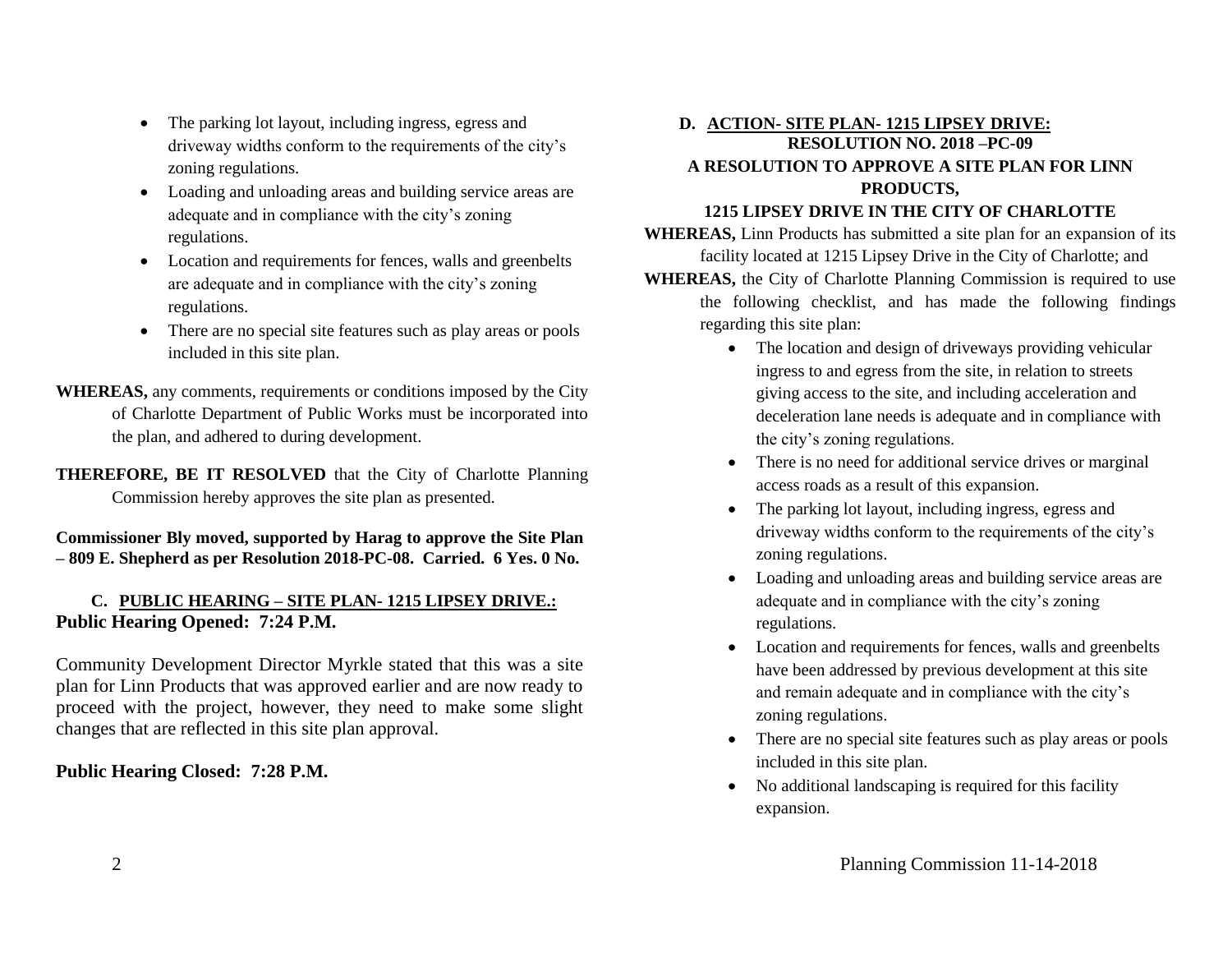- The parking lot layout, including ingress, egress and driveway widths conform to the requirements of the city's zoning regulations.
- Loading and unloading areas and building service areas are adequate and in compliance with the city's zoning regulations.
- Location and requirements for fences, walls and greenbelts are adequate and in compliance with the city's zoning regulations.
- There are no special site features such as play areas or pools included in this site plan.
- **WHEREAS,** any comments, requirements or conditions imposed by the City of Charlotte Department of Public Works must be incorporated into the plan, and adhered to during development.

**THEREFORE, BE IT RESOLVED** that the City of Charlotte Planning Commission hereby approves the site plan as presented.

**Commissioner Bly moved, supported by Harag to approve the Site Plan – 809 E. Shepherd as per Resolution 2018-PC-08. Carried. 6 Yes. 0 No.**

## **C. PUBLIC HEARING – SITE PLAN- 1215 LIPSEY DRIVE.: Public Hearing Opened: 7:24 P.M.**

Community Development Director Myrkle stated that this was a site plan for Linn Products that was approved earlier and are now ready to proceed with the project, however, they need to make some slight changes that are reflected in this site plan approval.

## **Public Hearing Closed: 7:28 P.M.**

# **D. ACTION- SITE PLAN- 1215 LIPSEY DRIVE: RESOLUTION NO. 2018 –PC-09 A RESOLUTION TO APPROVE A SITE PLAN FOR LINN PRODUCTS,**

#### **1215 LIPSEY DRIVE IN THE CITY OF CHARLOTTE**

**WHEREAS,** Linn Products has submitted a site plan for an expansion of its facility located at 1215 Lipsey Drive in the City of Charlotte; and **WHEREAS,** the City of Charlotte Planning Commission is required to use the following checklist, and has made the following findings regarding this site plan:

- The location and design of driveways providing vehicular ingress to and egress from the site, in relation to streets giving access to the site, and including acceleration and deceleration lane needs is adequate and in compliance with the city's zoning regulations.
- There is no need for additional service drives or marginal access roads as a result of this expansion.
- The parking lot layout, including ingress, egress and driveway widths conform to the requirements of the city's zoning regulations.
- Loading and unloading areas and building service areas are adequate and in compliance with the city's zoning regulations.
- Location and requirements for fences, walls and greenbelts have been addressed by previous development at this site and remain adequate and in compliance with the city's zoning regulations.
- There are no special site features such as play areas or pools included in this site plan.
- No additional landscaping is required for this facility expansion.